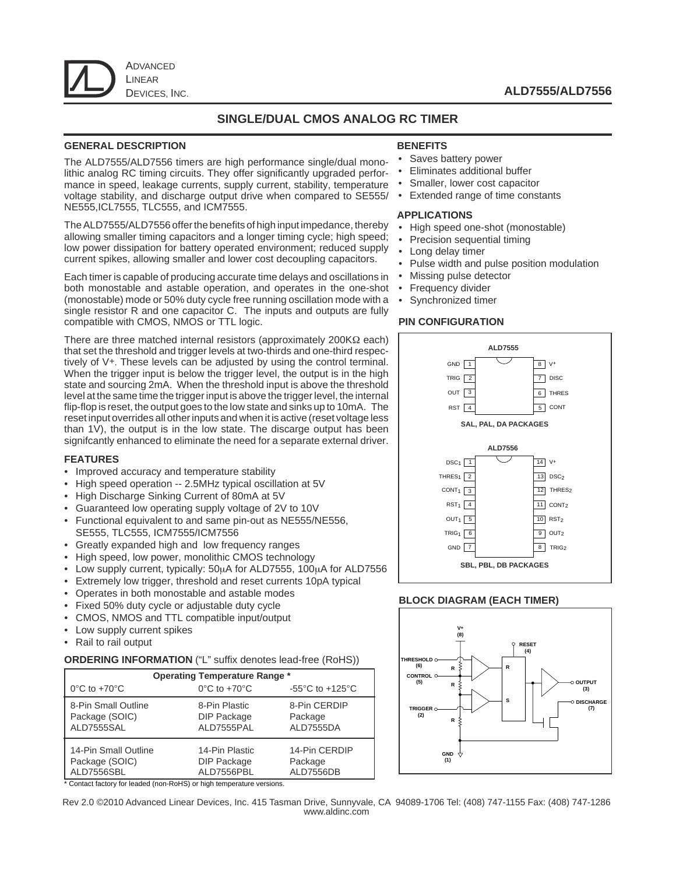

## **ALD7555/ALD7556**

## **SINGLE/DUAL CMOS ANALOG RC TIMER**

#### **GENERAL DESCRIPTION**

The ALD7555/ALD7556 timers are high performance single/dual monolithic analog RC timing circuits. They offer significantly upgraded performance in speed, leakage currents, supply current, stability, temperature voltage stability, and discharge output drive when compared to SE555/ NE555,ICL7555, TLC555, and ICM7555.

The ALD7555/ALD7556 offer the benefits of high input impedance, thereby allowing smaller timing capacitors and a longer timing cycle; high speed; low power dissipation for battery operated environment; reduced supply current spikes, allowing smaller and lower cost decoupling capacitors.

Each timer is capable of producing accurate time delays and oscillations in both monostable and astable operation, and operates in the one-shot (monostable) mode or 50% duty cycle free running oscillation mode with a single resistor R and one capacitor C. The inputs and outputs are fully compatible with CMOS, NMOS or TTL logic.

There are three matched internal resistors (approximately 200KΩ each) that set the threshold and trigger levels at two-thirds and one-third respectively of V+. These levels can be adjusted by using the control terminal. When the trigger input is below the trigger level, the output is in the high state and sourcing 2mA. When the threshold input is above the threshold level at the same time the trigger input is above the trigger level, the internal flip-flop is reset, the output goes to the low state and sinks up to 10mA. The reset input overrides all other inputs and when it is active (reset voltage less than 1V), the output is in the low state. The discarge output has been signifcantly enhanced to eliminate the need for a separate external driver.

#### **FEATURES**

- Improved accuracy and temperature stability
- High speed operation -- 2.5MHz typical oscillation at 5V
- High Discharge Sinking Current of 80mA at 5V
- Guaranteed low operating supply voltage of 2V to 10V
- Functional equivalent to and same pin-out as NE555/NE556, SE555, TLC555, ICM7555/ICM7556
- Greatly expanded high and low frequency ranges
- High speed, low power, monolithic CMOS technology
- Low supply current, typically: 50µA for ALD7555, 100µA for ALD7556
- Extremely low trigger, threshold and reset currents 10pA typical
- Operates in both monostable and astable modes
- Fixed 50% duty cycle or adjustable duty cycle
- CMOS, NMOS and TTL compatible input/output
- Low supply current spikes
- Rail to rail output

#### **ORDERING INFORMATION** ("L" suffix denotes lead-free (RoHS))

| <b>Operating Temperature Range *</b> |                                   |                                       |  |  |
|--------------------------------------|-----------------------------------|---------------------------------------|--|--|
| $0^{\circ}$ C to +70 $^{\circ}$ C    | $0^{\circ}$ C to +70 $^{\circ}$ C | -55 $^{\circ}$ C to +125 $^{\circ}$ C |  |  |
| 8-Pin Small Outline                  | 8-Pin Plastic                     | 8-Pin CERDIP                          |  |  |
| Package (SOIC)                       | <b>DIP Package</b>                | Package                               |  |  |
| ALD7555SAL                           | ALD7555PAL                        | ALD7555DA                             |  |  |
| 14-Pin Small Outline                 | 14-Pin Plastic                    | 14-Pin CERDIP                         |  |  |
| Package (SOIC)                       | <b>DIP Package</b>                | Package                               |  |  |
| ALD7556SBL                           | ALD7556PBL                        | ALD7556DB                             |  |  |

\* Contact factory for leaded (non-RoHS) or high temperature versions.

#### **BENEFITS**

- Saves battery power
- Eliminates additional buffer
- Smaller, lower cost capacitor
- Extended range of time constants

#### **APPLICATIONS**

- High speed one-shot (monostable)
- Precision sequential timing
- Long delay timer
- Pulse width and pulse position modulation
- Missing pulse detector
- Frequency divider
- Synchronized timer

#### **PIN CONFIGURATION**



#### **BLOCK DIAGRAM (EACH TIMER)**



Rev 2.0 ©2010 Advanced Linear Devices, Inc. 415 Tasman Drive, Sunnyvale, CA 94089-1706 Tel: (408) 747-1155 Fax: (408) 747-1286 www.aldinc.com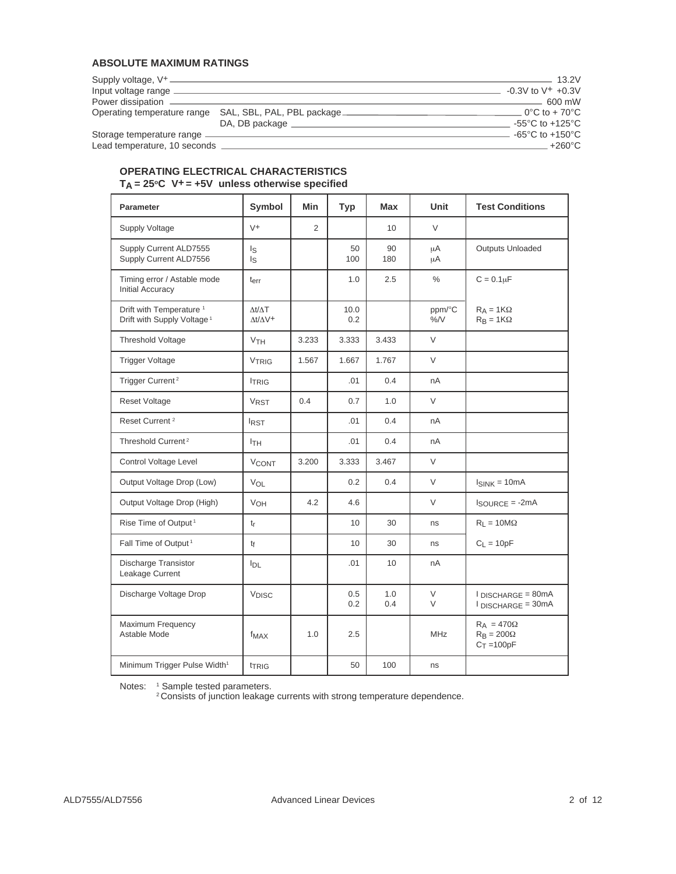## **ABSOLUTE MAXIMUM RATINGS**

|                              |                                                        | $-13.2V$                              |
|------------------------------|--------------------------------------------------------|---------------------------------------|
| Input voltage range          |                                                        | $-0.3V$ to V <sup>+</sup> $+0.3V$     |
|                              |                                                        | $-600$ mW                             |
|                              | Operating temperature range SAL, SBL, PAL, PBL package | $-0^{\circ}$ C to + 70 $^{\circ}$ C   |
|                              | DA, DB package                                         | -55 $^{\circ}$ C to +125 $^{\circ}$ C |
| Storage temperature range    |                                                        | -65 $^{\circ}$ C to +150 $^{\circ}$ C |
| Lead temperature, 10 seconds |                                                        | $+260^{\circ}$ C                      |

### **OPERATING ELECTRICAL CHARACTERISTICS TA = 25oC V+ = +5V unless otherwise specified**

| <b>Parameter</b>                                                              | Symbol                                         | Min   | <b>Typ</b>  | Max        | Unit          | <b>Test Conditions</b>                                  |
|-------------------------------------------------------------------------------|------------------------------------------------|-------|-------------|------------|---------------|---------------------------------------------------------|
| <b>Supply Voltage</b>                                                         | $V^+$                                          | 2     |             | 10         | $\vee$        |                                                         |
| Supply Current ALD7555<br>Supply Current ALD7556                              | l <sub>S</sub><br>ls.                          |       | 50<br>100   | 90<br>180  | μA<br>$\mu$ A | <b>Outputs Unloaded</b>                                 |
| Timing error / Astable mode<br><b>Initial Accuracy</b>                        | terr                                           |       | 1.0         | 2.5        | $\%$          | $C = 0.1 \mu F$                                         |
| Drift with Temperature <sup>1</sup><br>Drift with Supply Voltage <sup>1</sup> | $\Delta t/\Delta T$<br>$\Lambda t/\Lambda V^+$ |       | 10.0<br>0.2 |            | ppm/°C<br>%N  | $R_A = 1K\Omega$<br>$R_B = 1K\Omega$                    |
| <b>Threshold Voltage</b>                                                      | <b>V<sub>TH</sub></b>                          | 3.233 | 3.333       | 3.433      | $\vee$        |                                                         |
| <b>Trigger Voltage</b>                                                        | <b>VTRIG</b>                                   | 1.567 | 1.667       | 1.767      | V             |                                                         |
| Trigger Current <sup>2</sup>                                                  | <b>ITRIG</b>                                   |       | .01         | 0.4        | nA            |                                                         |
| <b>Reset Voltage</b>                                                          | <b>VRST</b>                                    | 0.4   | 0.7         | 1.0        | V             |                                                         |
| Reset Current <sup>2</sup>                                                    | I <sub>RST</sub>                               |       | .01         | 0.4        | nA            |                                                         |
| Threshold Current <sup>2</sup>                                                | <b>ITH</b>                                     |       | .01         | 0.4        | nA            |                                                         |
| Control Voltage Level                                                         | <b>V<sub>CONT</sub></b>                        | 3.200 | 3.333       | 3.467      | V             |                                                         |
| Output Voltage Drop (Low)                                                     | VOL                                            |       | 0.2         | 0.4        | V             | $I_{SINK} = 10mA$                                       |
| Output Voltage Drop (High)                                                    | VOH                                            | 4.2   | 4.6         |            | V             | $I_{\text{SOURCE}} = -2mA$                              |
| Rise Time of Output <sup>1</sup>                                              | $t_r$                                          |       | 10          | 30         | ns            | $R_L = 10M\Omega$                                       |
| Fall Time of Output <sup>1</sup>                                              | tf                                             |       | 10          | 30         | ns            | $C_1 = 10pF$                                            |
| <b>Discharge Transistor</b><br>Leakage Current                                | $I_{DL}$                                       |       | .01         | 10         | nA            |                                                         |
| Discharge Voltage Drop                                                        | <b>VDISC</b>                                   |       | 0.5<br>0.2  | 1.0<br>0.4 | V<br>V        | $I$ DISCHARGE = 80mA<br>$I$ DISCHARGE = 30mA            |
| Maximum Frequency<br>Astable Mode                                             | f <sub>MAX</sub>                               | 1.0   | 2.5         |            | <b>MHz</b>    | $R_A = 470\Omega$<br>$R_B = 200\Omega$<br>$C_T = 100pF$ |
| Minimum Trigger Pulse Width <sup>1</sup>                                      | <b>TRIG</b>                                    |       | 50          | 100        | ns            |                                                         |

Notes: 1 Sample tested parameters.

<sup>2</sup> Consists of junction leakage currents with strong temperature dependence.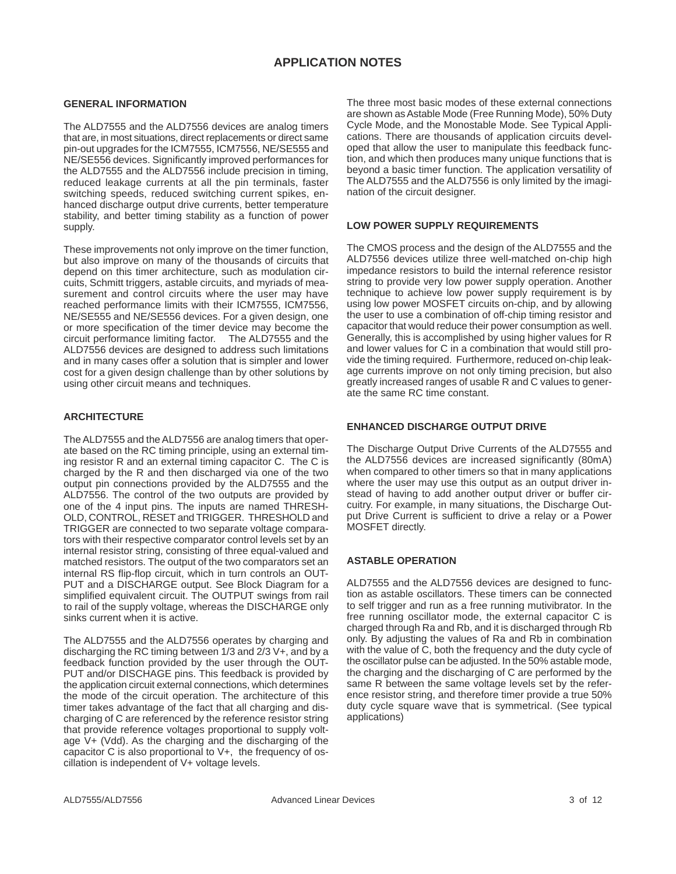## **APPLICATION NOTES**

#### **GENERAL INFORMATION**

The ALD7555 and the ALD7556 devices are analog timers that are, in most situations, direct replacements or direct same pin-out upgrades for the ICM7555, ICM7556, NE/SE555 and NE/SE556 devices. Significantly improved performances for the ALD7555 and the ALD7556 include precision in timing, reduced leakage currents at all the pin terminals, faster switching speeds, reduced switching current spikes, enhanced discharge output drive currents, better temperature stability, and better timing stability as a function of power supply.

These improvements not only improve on the timer function, but also improve on many of the thousands of circuits that depend on this timer architecture, such as modulation circuits, Schmitt triggers, astable circuits, and myriads of measurement and control circuits where the user may have reached performance limits with their ICM7555, ICM7556, NE/SE555 and NE/SE556 devices. For a given design, one or more specification of the timer device may become the circuit performance limiting factor. The ALD7555 and the ALD7556 devices are designed to address such limitations and in many cases offer a solution that is simpler and lower cost for a given design challenge than by other solutions by using other circuit means and techniques.

#### **ARCHITECTURE**

The ALD7555 and the ALD7556 are analog timers that operate based on the RC timing principle, using an external timing resistor R and an external timing capacitor C. The C is charged by the R and then discharged via one of the two output pin connections provided by the ALD7555 and the ALD7556. The control of the two outputs are provided by one of the 4 input pins. The inputs are named THRESH-OLD, CONTROL, RESET and TRIGGER. THRESHOLD and TRIGGER are connected to two separate voltage comparators with their respective comparator control levels set by an internal resistor string, consisting of three equal-valued and matched resistors. The output of the two comparators set an internal RS flip-flop circuit, which in turn controls an OUT-PUT and a DISCHARGE output. See Block Diagram for a simplified equivalent circuit. The OUTPUT swings from rail to rail of the supply voltage, whereas the DISCHARGE only sinks current when it is active.

The ALD7555 and the ALD7556 operates by charging and discharging the RC timing between 1/3 and 2/3 V+, and by a feedback function provided by the user through the OUT-PUT and/or DISCHAGE pins. This feedback is provided by the application circuit external connections, which determines the mode of the circuit operation. The architecture of this timer takes advantage of the fact that all charging and discharging of C are referenced by the reference resistor string that provide reference voltages proportional to supply voltage V+ (Vdd). As the charging and the discharging of the capacitor C is also proportional to V+, the frequency of oscillation is independent of V+ voltage levels.

The three most basic modes of these external connections are shown as Astable Mode (Free Running Mode), 50% Duty Cycle Mode, and the Monostable Mode. See Typical Applications. There are thousands of application circuits developed that allow the user to manipulate this feedback function, and which then produces many unique functions that is beyond a basic timer function. The application versatility of The ALD7555 and the ALD7556 is only limited by the imagination of the circuit designer.

#### **LOW POWER SUPPLY REQUIREMENTS**

The CMOS process and the design of the ALD7555 and the ALD7556 devices utilize three well-matched on-chip high impedance resistors to build the internal reference resistor string to provide very low power supply operation. Another technique to achieve low power supply requirement is by using low power MOSFET circuits on-chip, and by allowing the user to use a combination of off-chip timing resistor and capacitor that would reduce their power consumption as well. Generally, this is accomplished by using higher values for R and lower values for C in a combination that would still provide the timing required. Furthermore, reduced on-chip leakage currents improve on not only timing precision, but also greatly increased ranges of usable R and C values to generate the same RC time constant.

#### **ENHANCED DISCHARGE OUTPUT DRIVE**

The Discharge Output Drive Currents of the ALD7555 and the ALD7556 devices are increased significantly (80mA) when compared to other timers so that in many applications where the user may use this output as an output driver instead of having to add another output driver or buffer circuitry. For example, in many situations, the Discharge Output Drive Current is sufficient to drive a relay or a Power MOSFET directly.

### **ASTABLE OPERATION**

ALD7555 and the ALD7556 devices are designed to function as astable oscillators. These timers can be connected to self trigger and run as a free running mutivibrator. In the free running oscillator mode, the external capacitor C is charged through Ra and Rb, and it is discharged through Rb only. By adjusting the values of Ra and Rb in combination with the value of C, both the frequency and the duty cycle of the oscillator pulse can be adjusted. In the 50% astable mode, the charging and the discharging of C are performed by the same R between the same voltage levels set by the reference resistor string, and therefore timer provide a true 50% duty cycle square wave that is symmetrical. (See typical applications)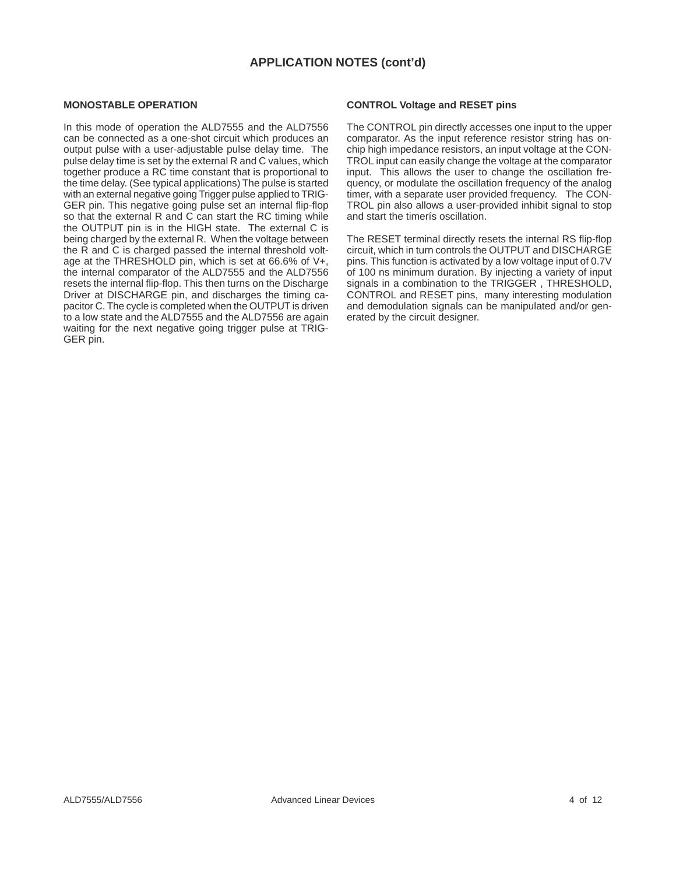# **APPLICATION NOTES (cont'd)**

#### **MONOSTABLE OPERATION**

In this mode of operation the ALD7555 and the ALD7556 can be connected as a one-shot circuit which produces an output pulse with a user-adjustable pulse delay time. The pulse delay time is set by the external R and C values, which together produce a RC time constant that is proportional to the time delay. (See typical applications) The pulse is started with an external negative going Trigger pulse applied to TRIG-GER pin. This negative going pulse set an internal flip-flop so that the external R and C can start the RC timing while the OUTPUT pin is in the HIGH state. The external C is being charged by the external R. When the voltage between the R and C is charged passed the internal threshold voltage at the THRESHOLD pin, which is set at 66.6% of V+, the internal comparator of the ALD7555 and the ALD7556 resets the internal flip-flop. This then turns on the Discharge Driver at DISCHARGE pin, and discharges the timing capacitor C. The cycle is completed when the OUTPUT is driven to a low state and the ALD7555 and the ALD7556 are again waiting for the next negative going trigger pulse at TRIG-GER pin.

#### **CONTROL Voltage and RESET pins**

The CONTROL pin directly accesses one input to the upper comparator. As the input reference resistor string has onchip high impedance resistors, an input voltage at the CON-TROL input can easily change the voltage at the comparator input. This allows the user to change the oscillation frequency, or modulate the oscillation frequency of the analog timer, with a separate user provided frequency. The CON-TROL pin also allows a user-provided inhibit signal to stop and start the timerís oscillation.

The RESET terminal directly resets the internal RS flip-flop circuit, which in turn controls the OUTPUT and DISCHARGE pins. This function is activated by a low voltage input of 0.7V of 100 ns minimum duration. By injecting a variety of input signals in a combination to the TRIGGER , THRESHOLD, CONTROL and RESET pins, many interesting modulation and demodulation signals can be manipulated and/or generated by the circuit designer.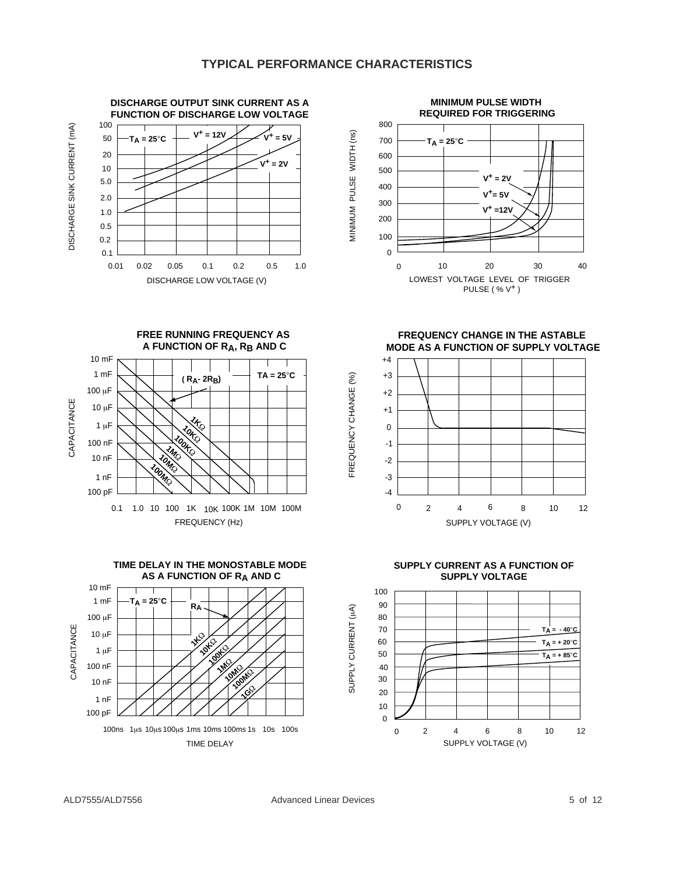FREQUENCY CHANGE (%)

FREQUENCY CHANGE (%)





**FREE RUNNING FREQUENCY AS A FUNCTION OF RA, RB AND C**





**FREQUENCY CHANGE IN THE ASTABLE MODE AS A FUNCTION OF SUPPLY VOLTAGE**



**SUPPLY CURRENT AS A FUNCTION OF SUPPLY VOLTAGE**



DISCHARGE SINK CURRENT (mA) DISCHARGE SINK CURRENT (mA)

CAPACITANCE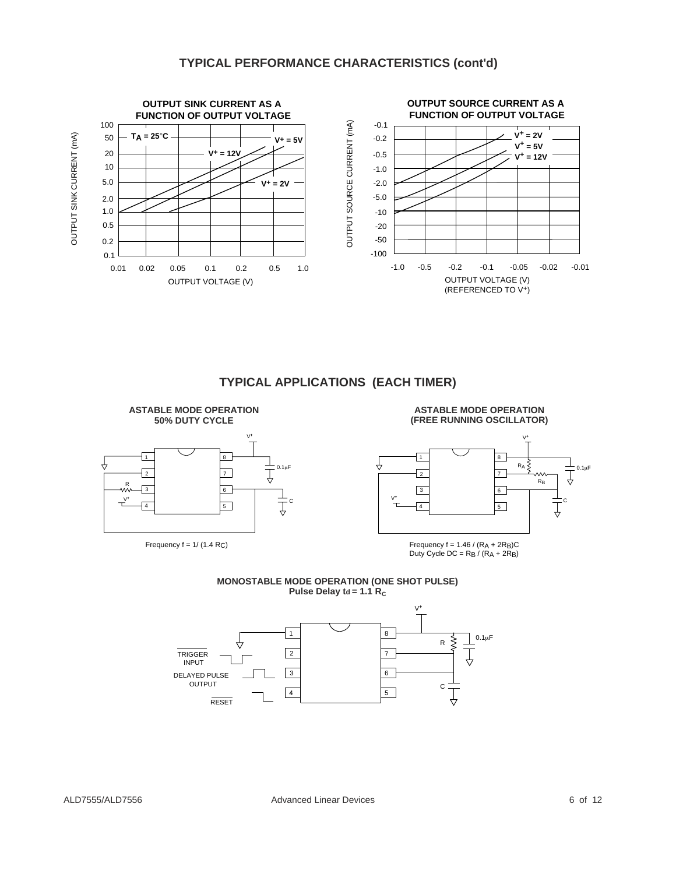# **TYPICAL PERFORMANCE CHARACTERISTICS (cont'd)**



# **TYPICAL APPLICATIONS (EACH TIMER)**

**ASTABLE MODE OPERATION 50% DUTY CYCLE** 1 2 3 4 8 7 6 5 R C 0.1µF Frequency  $f = 1/(1.4 \text{ R})$ V**+** V**+ ASTABLE MODE OPERATION (FREE RUNNING OSCILLATOR) MONOSTABLE MODE OPERATION (ONE SHOT PULSE)** 1  $\overline{\phantom{a}}$  $\sqrt{3}$ 4 8 7 6 5 C  $R_A \nless \n<sub>R_B</sub> \n $\frac{\perp}{\sqrt{}} 0.1 \mu F$$ V**+** V**+** RB Frequency  $f = 1.46 / (RA + 2RB)C$ Duty Cycle  $DC = RB / (RA + 2RB)$ 



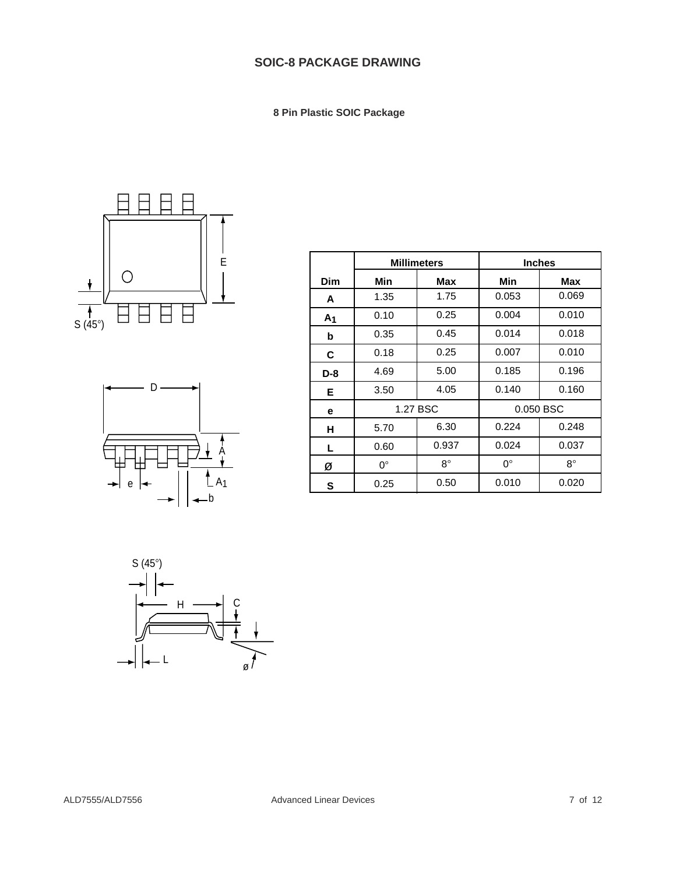# **SOIC-8 PACKAGE DRAWING**

 **8 Pin Plastic SOIC Package**





|                | <b>Millimeters</b> |             | <b>Inches</b> |           |
|----------------|--------------------|-------------|---------------|-----------|
| Dim            | Min                | Max         | Min           | Max       |
| A              | 1.35               | 1.75        | 0.053         | 0.069     |
| A <sub>1</sub> | 0.10               | 0.25        | 0.004         | 0.010     |
| b              | 0.35               | 0.45        | 0.014         | 0.018     |
| C              | 0.18               | 0.25        | 0.007         | 0.010     |
| $D-8$          | 4.69               | 5.00        | 0.185         | 0.196     |
| Е              | 3.50               | 4.05        | 0.140         | 0.160     |
| e              |                    | 1.27 BSC    | 0.050 BSC     |           |
| н              | 5.70               | 6.30        | 0.224         | 0.248     |
| L              | 0.60               | 0.937       | 0.024         | 0.037     |
| Ø              | $0^{\circ}$        | $8^{\circ}$ | $0^{\circ}$   | $8^\circ$ |
| S              | 0.25               | 0.50        | 0.010         | 0.020     |

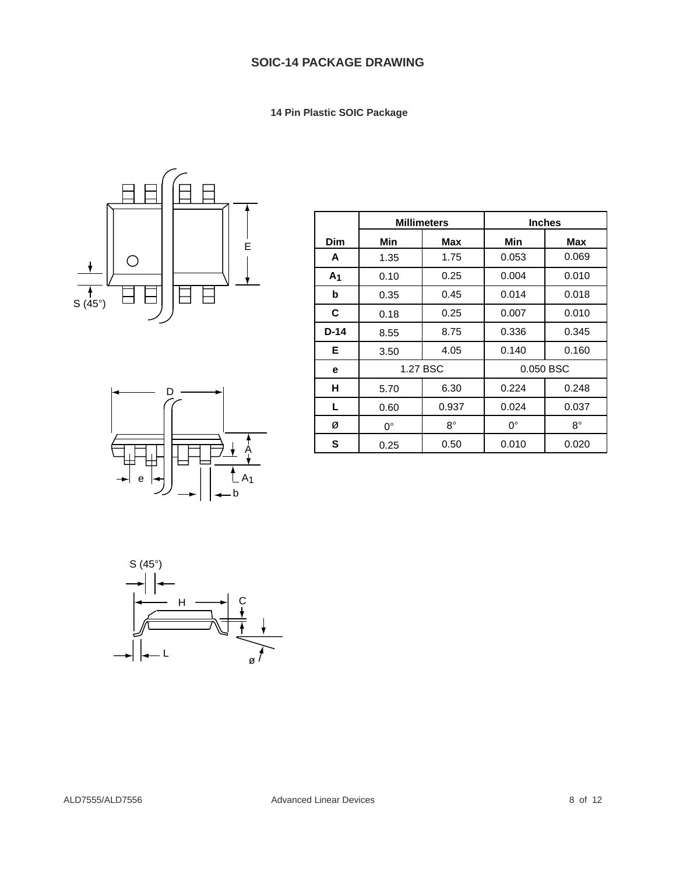**14 Pin Plastic SOIC Package**





|                | <b>Millimeters</b> |           | <b>Inches</b> |             |
|----------------|--------------------|-----------|---------------|-------------|
| Dim            | Min                | Max       | Min           | Max         |
| A              | 1.35               | 1.75      | 0.053         | 0.069       |
| A <sub>1</sub> | 0.10               | 0.25      | 0.004         | 0.010       |
| b              | 0.35               | 0.45      | 0.014         | 0.018       |
| С              | 0.18               | 0.25      | 0.007         | 0.010       |
| $D-14$         | 8.55               | 8.75      | 0.336         | 0.345       |
| Е              | 3.50               | 4.05      | 0.140         | 0.160       |
| е              |                    | 1.27 BSC  | 0.050 BSC     |             |
| н              | 5.70               | 6.30      | 0.224         | 0.248       |
| L.             | 0.60               | 0.937     | 0.024         | 0.037       |
| ø              | 0°                 | $8^\circ$ | $0^{\circ}$   | $8^{\circ}$ |
| S              | 0.25               | 0.50      | 0.010         | 0.020       |

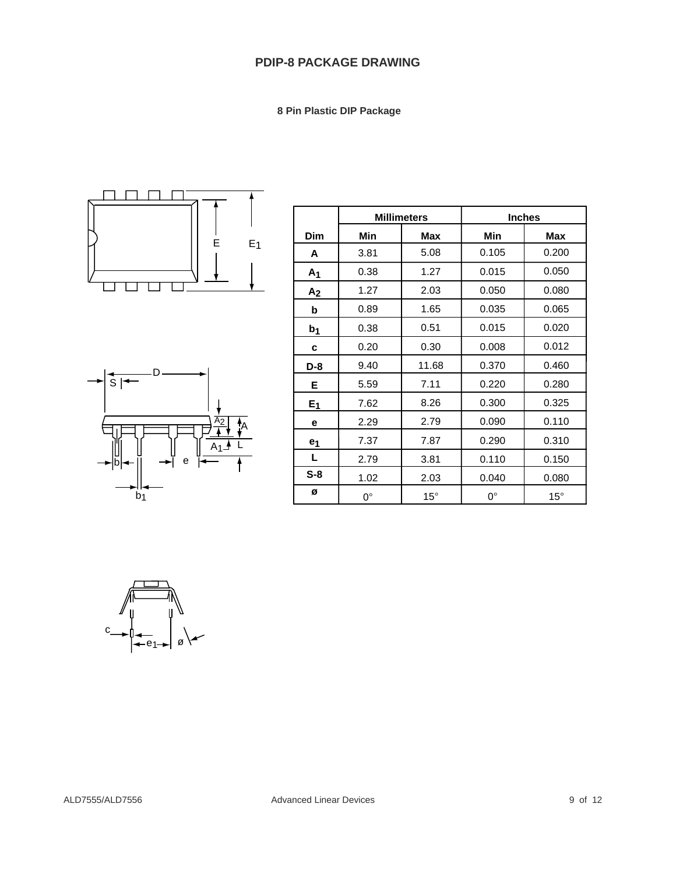# **PDIP-8 PACKAGE DRAWING**

 **8 Pin Plastic DIP Package**





|                | <b>Millimeters</b> |              | <b>Inches</b> |              |
|----------------|--------------------|--------------|---------------|--------------|
| <b>Dim</b>     | Min                | Max          | Min           | Max          |
| A              | 3.81               | 5.08         | 0.105         | 0.200        |
| A <sub>1</sub> | 0.38               | 1.27         | 0.015         | 0.050        |
| A <sub>2</sub> | 1.27               | 2.03         | 0.050         | 0.080        |
| b              | 0.89               | 1.65         | 0.035         | 0.065        |
| b <sub>1</sub> | 0.38               | 0.51         | 0.015         | 0.020        |
| c              | 0.20               | 0.30         | 0.008         | 0.012        |
| $D-8$          | 9.40               | 11.68        | 0.370         | 0.460        |
| Е              | 5.59               | 7.11         | 0.220         | 0.280        |
| E <sub>1</sub> | 7.62               | 8.26         | 0.300         | 0.325        |
| е              | 2.29               | 2.79         | 0.090         | 0.110        |
| e <sub>1</sub> | 7.37               | 7.87         | 0.290         | 0.310        |
| L              | 2.79               | 3.81         | 0.110         | 0.150        |
| $S-8$          | 1.02               | 2.03         | 0.040         | 0.080        |
| ø              | $0^{\circ}$        | $15^{\circ}$ | $0^{\circ}$   | $15^{\circ}$ |

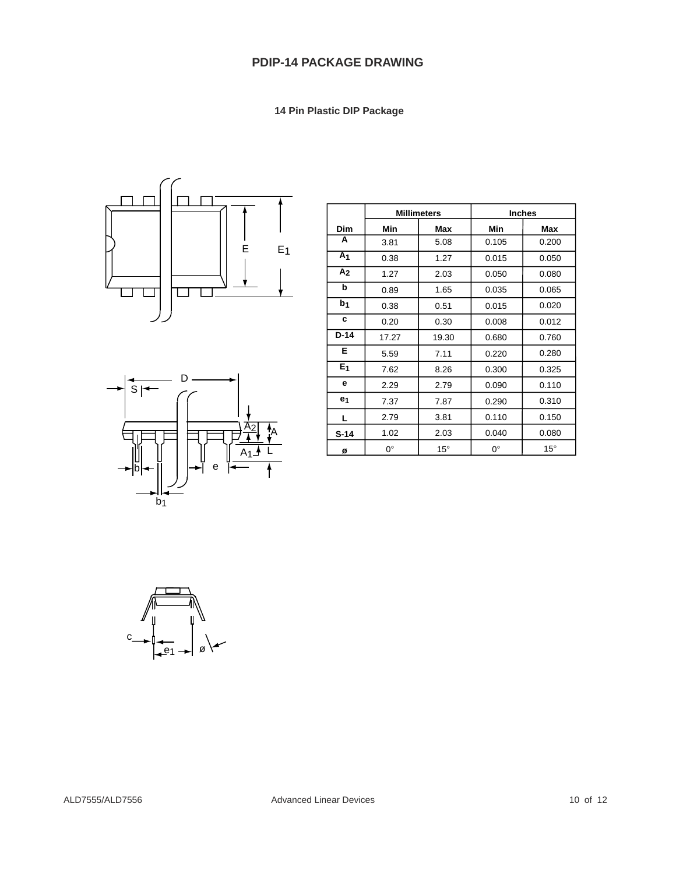# **PDIP-14 PACKAGE DRAWING**

 **14 Pin Plastic DIP Package**





|                | <b>Millimeters</b> |              | <b>Inches</b> |              |
|----------------|--------------------|--------------|---------------|--------------|
| Dim            | Min                | Max          | Min           | Max          |
| A              | 3.81               | 5.08         | 0.105         | 0.200        |
| A <sub>1</sub> | 0.38               | 1.27         | 0.015         | 0.050        |
| A <sub>2</sub> | 1.27               | 2.03         | 0.050         | 0.080        |
| b              | 0.89               | 1.65         | 0.035         | 0.065        |
| b <sub>1</sub> | 0.38               | 0.51         | 0.015         | 0.020        |
| C              | 0.20               | 0.30         | 0.008         | 0.012        |
| $D-14$         | 17.27              | 19.30        | 0.680         | 0.760        |
| Е              | 5.59               | 7.11         | 0.220         | 0.280        |
| E <sub>1</sub> | 7.62               | 8.26         | 0.300         | 0.325        |
| е              | 2.29               | 2.79         | 0.090         | 0.110        |
| e <sub>1</sub> | 7.37               | 7.87         | 0.290         | 0.310        |
| L              | 2.79               | 3.81         | 0.110         | 0.150        |
| $S-14$         | 1.02               | 2.03         | 0.040         | 0.080        |
| Ø              | $0^{\circ}$        | $15^{\circ}$ | $0^{\circ}$   | $15^{\circ}$ |

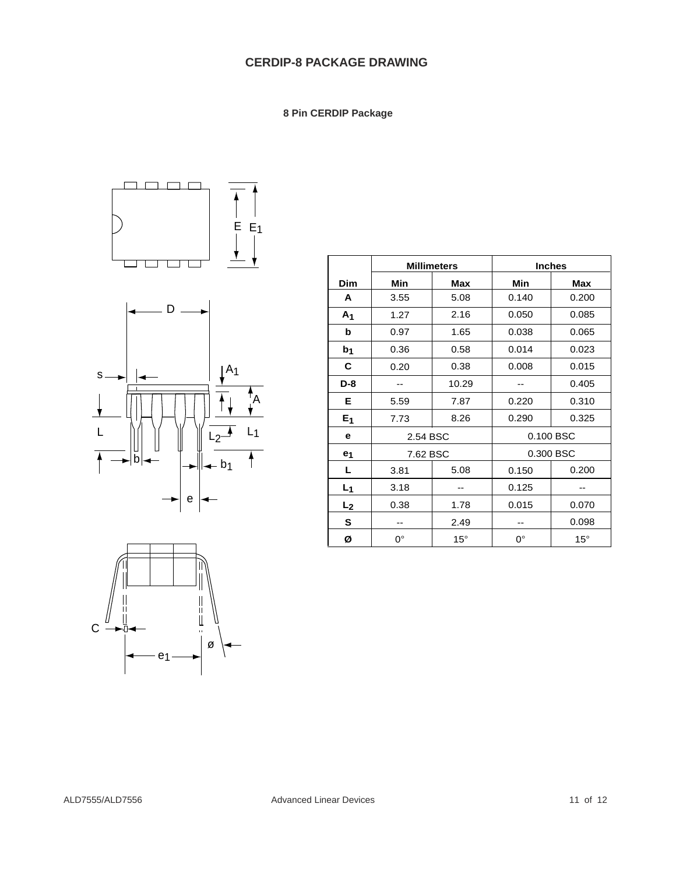# **CERDIP-8 PACKAGE DRAWING**

 **8 Pin CERDIP Package**







|                | <b>Millimeters</b> |              | <b>Inches</b> |              |
|----------------|--------------------|--------------|---------------|--------------|
| <b>Dim</b>     | Min                | <b>Max</b>   | <b>Min</b>    | <b>Max</b>   |
| A              | 3.55               | 5.08         | 0.140         | 0.200        |
| A <sub>1</sub> | 1.27               | 2.16         | 0.050         | 0.085        |
| b              | 0.97               | 1.65         | 0.038         | 0.065        |
| b <sub>1</sub> | 0.36               | 0.58         | 0.014         | 0.023        |
| C              | 0.20               | 0.38         | 0.008         | 0.015        |
| $D-8$          |                    | 10.29        |               | 0.405        |
| Е              | 5.59               | 7.87         | 0.220         | 0.310        |
| E <sub>1</sub> | 7.73               | 8.26         | 0.290         | 0.325        |
| e              | 2.54 BSC           |              | 0.100 BSC     |              |
| e <sub>1</sub> | 7.62 BSC           |              |               | 0.300 BSC    |
| L              | 3.81               | 5.08         | 0.150         | 0.200        |
| $L_1$          | 3.18               |              | 0.125         |              |
| L <sub>2</sub> | 0.38               | 1.78         | 0.015         | 0.070        |
| S              | --                 | 2.49         | --            | 0.098        |
| Ø              | $0^{\circ}$        | $15^{\circ}$ | $0^{\circ}$   | $15^{\circ}$ |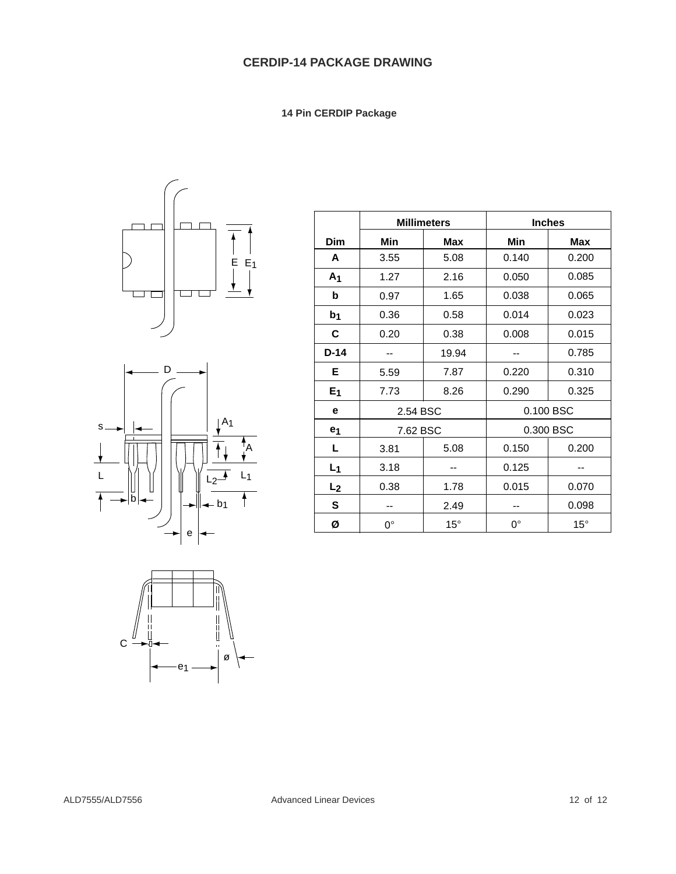**14 Pin CERDIP Package**





| С |   |
|---|---|
| e | ø |

|                | <b>Millimeters</b> |              | <b>Inches</b> |              |
|----------------|--------------------|--------------|---------------|--------------|
| Dim            | Min                | Max          | Min           | Max          |
| A              | 3.55               | 5.08         | 0.140         | 0.200        |
| A <sub>1</sub> | 1.27               | 2.16         | 0.050         | 0.085        |
| b              | 0.97               | 1.65         | 0.038         | 0.065        |
| b <sub>1</sub> | 0.36               | 0.58         | 0.014         | 0.023        |
| C              | 0.20               | 0.38         | 0.008         | 0.015        |
| $D-14$         |                    | 19.94        |               | 0.785        |
| Е              | 5.59               | 7.87         | 0.220         | 0.310        |
| E <sub>1</sub> | 7.73               | 8.26         | 0.290         | 0.325        |
| е              | 2.54 BSC           |              |               | 0.100 BSC    |
| e <sub>1</sub> | 7.62 BSC           |              |               | 0.300 BSC    |
| L              | 3.81               | 5.08         | 0.150         | 0.200        |
| $L_1$          | 3.18               |              | 0.125         |              |
| L <sub>2</sub> | 0.38               | 1.78         | 0.015         | 0.070        |
| S              |                    | 2.49         |               | 0.098        |
| Ø              | $0^{\circ}$        | $15^{\circ}$ | $0^{\circ}$   | $15^{\circ}$ |